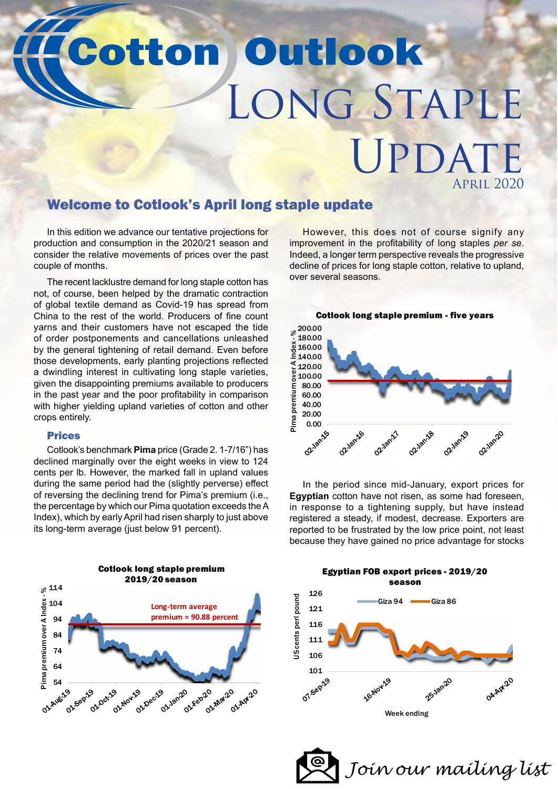# **Cotton Outlook** Long Staple UPDATI April 2020

### Welcome to Cotlook's April long staple update

In this edition we advance our tentative projections for production and consumption in the 2020/21 season and consider the relative movements of prices over the past couple of months.

The recent lacklustre demand for long staple cotton has not, of course, been helped by the dramatic contraction of global textile demand as Covid-19 has spread from China to the rest of the world. Producers of fine count yarns and their customers have not escaped the tide of order postponements and cancellations unleashed by the general tightening of retail demand. Even before those developments, early planting projections reflected a dwindling interest in cultivating long staple varieties, given the disappointing premiums available to producers in the past year and the poor profitability in comparison with higher yielding upland varieties of cotton and other crops entirely.

### Prices

Cotlook's benchmark **Pima** price (Grade 2. 1-7/16") has declined marginally over the eight weeks in view to 124 cents per lb. However, the marked fall in upland values during the same period had the (slightly perverse) effect of reversing the declining trend for Pima's premium (i.e., the percentage by which our Pima quotation exceeds the A Index), which by early April had risen sharply to just above its long-term average (just below 91 percent).



However, this does not of course signify any improvement in the profitability of long staples *per se*. Indeed, a longer term perspective reveals the progressive decline of prices for long staple cotton, relative to upland, over several seasons.



In the period since mid-January, export prices for **Egyptian** cotton have not risen, as some had foreseen, in response to a tightening supply, but have instead registered a steady, if modest, decrease. Exporters are reported to be frustrated by the low price point, not least because they have gained no price advantage for stocks



*[Join our mailing list](mailto:?subject=Request%20to%20subscribe%20to%20mailing%20list)*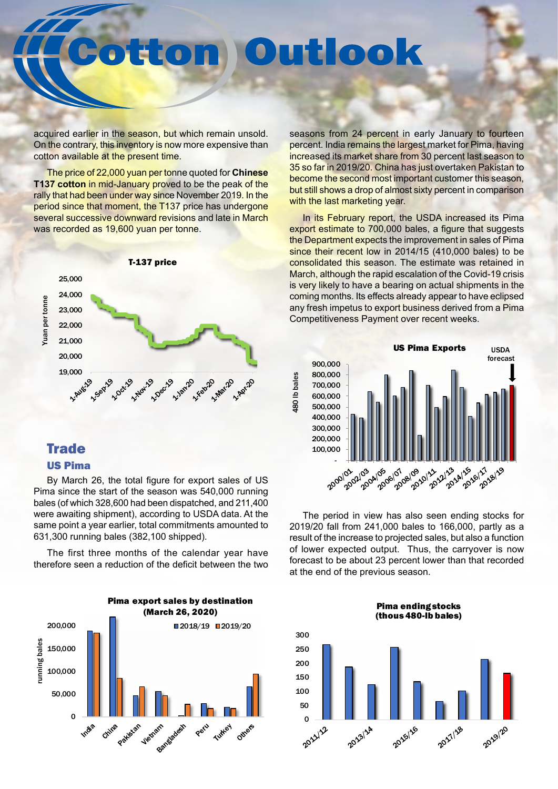### Outlook Etom

acquired earlier in the season, but which remain unsold. On the contrary, this inventory is now more expensive than cotton available at the present time.

The price of 22,000 yuan per tonne quoted for **Chinese T137 cotton** in mid-January proved to be the peak of the rally that had been under way since November 2019. In the period since that moment, the T137 price has undergone several successive downward revisions and late in March was recorded as 19,600 yuan per tonne.



## **Trade**

### US Pima

By March 26, the total figure for export sales of US Pima since the start of the season was 540,000 running bales (of which 328,600 had been dispatched, and 211,400 were awaiting shipment), according to USDA data. At the same point a year earlier, total commitments amounted to 631,300 running bales (382,100 shipped).

The first three months of the calendar year have therefore seen a reduction of the deficit between the two



seasons from 24 percent in early January to fourteen percent. India remains the largest market for Pima, having increased its market share from 30 percent last season to 35 so far in 2019/20. China has just overtaken Pakistan to become the second most important customer this season, but still shows a drop of almost sixty percent in comparison with the last marketing year.

In its February report, the USDA increased its Pima export estimate to 700,000 bales, a figure that suggests the Department expects the improvement in sales of Pima since their recent low in 2014/15 (410,000 bales) to be consolidated this season. The estimate was retained in March, although the rapid escalation of the Covid-19 crisis is very likely to have a bearing on actual shipments in the coming months. Its effects already appear to have eclipsed any fresh impetus to export business derived from a Pima Competitiveness Payment over recent weeks.



The period in view has also seen ending stocks for 2019/20 fall from 241,000 bales to 166,000, partly as a result of the increase to projected sales, but also a function of lower expected output. Thus, the carryover is now forecast to be about 23 percent lower than that recorded at the end of the previous season.

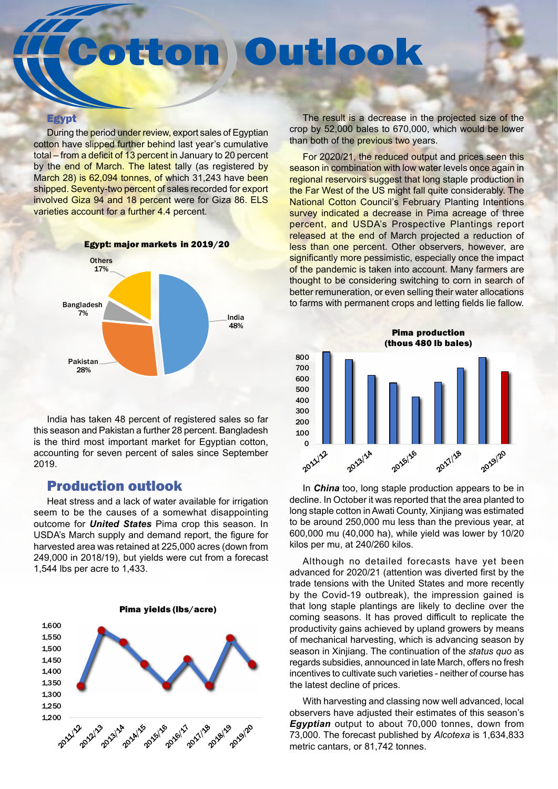## tton Outlook

#### **Egypt**

During the period under review, export sales of Egyptian cotton have slipped further behind last year's cumulative total – from a deficit of 13 percent in January to 20 percent by the end of March. The latest tally (as registered by March 28) is 62,094 tonnes, of which 31,243 have been shipped. Seventy-two percent of sales recorded for export involved Giza 94 and 18 percent were for Giza 86. ELS varieties account for a further 4.4 percent.



India has taken 48 percent of registered sales so far this season and Pakistan a further 28 percent. Bangladesh is the third most important market for Egyptian cotton, accounting for seven percent of sales since September 2019.

### Production outlook

Heat stress and a lack of water available for irrigation seem to be the causes of a somewhat disappointing outcome for *United States* Pima crop this season. In USDA's March supply and demand report, the figure for harvested area was retained at 225,000 acres (down from 249,000 in 2018/19), but yields were cut from a forecast 1,544 lbs per acre to 1,433.



The result is a decrease in the projected size of the crop by 52,000 bales to 670,000, which would be lower than both of the previous two years.

For 2020/21, the reduced output and prices seen this season in combination with low water levels once again in regional reservoirs suggest that long staple production in the Far West of the US might fall quite considerably. The National Cotton Council's February Planting Intentions survey indicated a decrease in Pima acreage of three percent, and USDA's Prospective Plantings report released at the end of March projected a reduction of less than one percent. Other observers, however, are significantly more pessimistic, especially once the impact of the pandemic is taken into account. Many farmers are thought to be considering switching to corn in search of better remuneration, or even selling their water allocations to farms with permanent crops and letting fields lie fallow.



In *China* too, long staple production appears to be in decline. In October it was reported that the area planted to long staple cotton in Awati County, Xinjiang was estimated to be around 250,000 mu less than the previous year, at 600,000 mu (40,000 ha), while yield was lower by 10/20 kilos per mu, at 240/260 kilos.

Although no detailed forecasts have yet been advanced for 2020/21 (attention was diverted first by the trade tensions with the United States and more recently by the Covid-19 outbreak), the impression gained is that long staple plantings are likely to decline over the coming seasons. It has proved difficult to replicate the productivity gains achieved by upland growers by means of mechanical harvesting, which is advancing season by season in Xinjiang. The continuation of the *status quo* as regards subsidies, announced in late March, offers no fresh incentives to cultivate such varieties - neither of course has the latest decline of prices.

With harvesting and classing now well advanced, local observers have adjusted their estimates of this season's *Egyptian* output to about 70,000 tonnes, down from 73,000. The forecast published by *Alcotexa* is 1,634,833 metric cantars, or 81,742 tonnes.